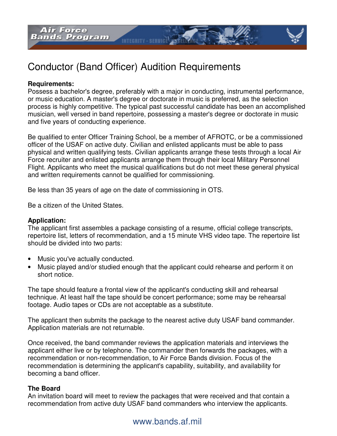

**INTEGRITY - SERVICE** 

#### **Requirements:**

Possess a bachelor's degree, preferably with a major in conducting, instrumental performance, or music education. A master's degree or doctorate in music is preferred, as the selection process is highly competitive. The typical past successful candidate has been an accomplished musician, well versed in band repertoire, possessing a master's degree or doctorate in music and five years of conducting experience.

Be qualified to enter Officer Training School, be a member of AFROTC, or be a commissioned officer of the USAF on active duty. Civilian and enlisted applicants must be able to pass physical and written qualifying tests. Civilian applicants arrange these tests through a local Air Force recruiter and enlisted applicants arrange them through their local Military Personnel Flight. Applicants who meet the musical qualifications but do not meet these general physical and written requirements cannot be qualified for commissioning.

Be less than 35 years of age on the date of commissioning in OTS.

Be a citizen of the United States.

#### **Application:**

The applicant first assembles a package consisting of a resume, official college transcripts, repertoire list, letters of recommendation, and a 15 minute VHS video tape. The repertoire list should be divided into two parts:

- Music you've actually conducted.
- Music played and/or studied enough that the applicant could rehearse and perform it on short notice.

The tape should feature a frontal view of the applicant's conducting skill and rehearsal technique. At least half the tape should be concert performance; some may be rehearsal footage. Audio tapes or CDs are not acceptable as a substitute.

The applicant then submits the package to the nearest active duty USAF band commander. Application materials are not returnable.

Once received, the band commander reviews the application materials and interviews the applicant either live or by telephone. The commander then forwards the packages, with a recommendation or non-recommendation, to Air Force Bands division. Focus of the recommendation is determining the applicant's capability, suitability, and availability for becoming a band officer.

### **The Board**

An invitation board will meet to review the packages that were received and that contain a recommendation from active duty USAF band commanders who interview the applicants.

# www.bands.af.mil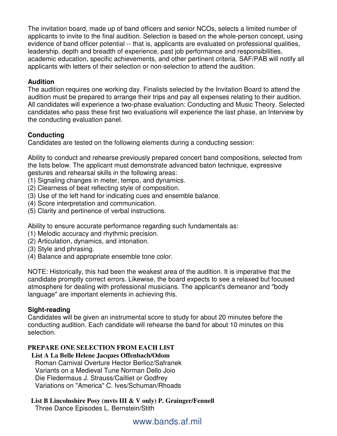The invitation board, made up of band officers and senior NCOs, selects a limited number of applicants to invite to the final audition. Selection is based on the whole-person concept, using evidence of band officer potential -- that is, applicants are evaluated on professional qualities, leadership, depth and breadth of experience, past job performance and responsibilities, academic education, specific achievements, and other pertinent criteria. SAF/PAB will notify all applicants with letters of their selection or non-selection to attend the audition.

## **Audition**

The audition requires one working day. Finalists selected by the Invitation Board to attend the audition must be prepared to arrange their trips and pay all expenses relating to their audition. All candidates will experience a two-phase evaluation: Conducting and Music Theory. Selected candidates who pass these first two evaluations will experience the last phase, an Interview by the conducting evaluation panel.

## **Conducting**

Candidates are tested on the following elements during a conducting session:

Ability to conduct and rehearse previously prepared concert band compositions, selected from the lists below. The applicant must demonstrate advanced baton technique, expressive gestures and rehearsal skills in the following areas:

- (1) Signaling changes in meter, tempo, and dynamics.
- (2) Clearness of beat reflecting style of composition.
- (3) Use of the left hand for indicating cues and ensemble balance.
- (4) Score interpretation and communication.
- (5) Clarity and pertinence of verbal instructions.

Ability to ensure accurate performance regarding such fundamentals as:

- (1) Melodic accuracy and rhythmic precision.
- (2) Articulation, dynamics, and intonation.
- (3) Style and phrasing.
- (4) Balance and appropriate ensemble tone color.

NOTE: Historically, this had been the weakest area of the audition. It is imperative that the candidate promptly correct errors. Likewise, the board expects to see a relaxed but focused atmosphere for dealing with professional musicians. The applicant's demeanor and "body language" are important elements in achieving this.

## **Sight-reading**

Candidates will be given an instrumental score to study for about 20 minutes before the conducting audition. Each candidate will rehearse the band for about 10 minutes on this selection.

## **PREPARE ONE SELECTION FROM EACH LIST**

## **List A La Belle Helene Jacques Offenbach/Odom**

 Roman Carnival Overture Hector Berlioz/Safranek Variants on a Medieval Tune Norman Dello Joio Die Fledermaus J. Strauss/Cailliet or Godfrey Variations on "America" C. Ives/Schuman/Rhoads

#### **List B Lincolnshire Posy (mvts III & V only) P. Grainger/Fennell**  Three Dance Episodes L. Bernstein/Stith

www.bands.af.mil